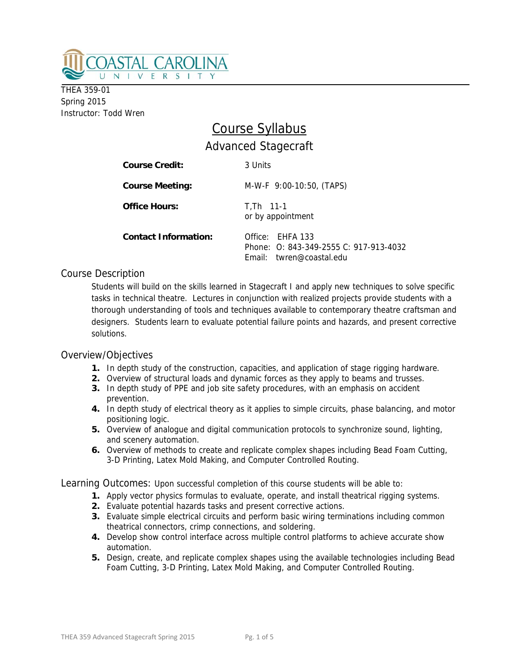

THEA 359-01 Spring 2015 Instructor: Todd Wren

# Course Syllabus Advanced Stagecraft

| <b>Course Credit:</b>       | 3 Units                                                                                |
|-----------------------------|----------------------------------------------------------------------------------------|
| <b>Course Meeting:</b>      | $M-W-F$ 9:00-10:50, (TAPS)                                                             |
| <b>Office Hours:</b>        | $T.Th$ 11-1<br>or by appointment                                                       |
| <b>Contact Information:</b> | Office: FHFA 133<br>Phone: 0: 843-349-2555 C: 917-913-4032<br>Fmail: twren@coastal.edu |

# Course Description

 Students will build on the skills learned in Stagecraft I and apply new techniques to solve specific tasks in technical theatre. Lectures in conjunction with realized projects provide students with a thorough understanding of tools and techniques available to contemporary theatre craftsman and designers. Students learn to evaluate potential failure points and hazards, and present corrective solutions.

## Overview/Objectives

- **1.** In depth study of the construction, capacities, and application of stage rigging hardware.
- **2.** Overview of structural loads and dynamic forces as they apply to beams and trusses.
- **3.** In depth study of PPE and job site safety procedures, with an emphasis on accident prevention.
- **4.** In depth study of electrical theory as it applies to simple circuits, phase balancing, and motor positioning logic.
- **5.** Overview of analogue and digital communication protocols to synchronize sound, lighting, and scenery automation.
- **6.** Overview of methods to create and replicate complex shapes including Bead Foam Cutting, 3-D Printing, Latex Mold Making, and Computer Controlled Routing.

Learning Outcomes: Upon successful completion of this course students will be able to:

- **1.** Apply vector physics formulas to evaluate, operate, and install theatrical rigging systems.
- **2.** Evaluate potential hazards tasks and present corrective actions.
- **3.** Evaluate simple electrical circuits and perform basic wiring terminations including common theatrical connectors, crimp connections, and soldering.
- **4.** Develop show control interface across multiple control platforms to achieve accurate show automation.
- **5.** Design, create, and replicate complex shapes using the available technologies including Bead Foam Cutting, 3-D Printing, Latex Mold Making, and Computer Controlled Routing.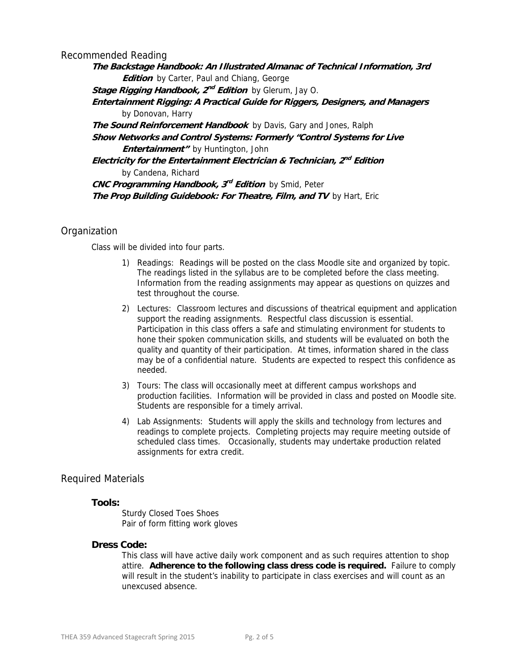Recommended Reading

**The Backstage Handbook: An Illustrated Almanac of Technical Information, 3rd Edition** by Carter, Paul and Chiang, George **Stage Rigging Handbook, 2nd Edition** by Glerum, Jay O. **Entertainment Rigging: A Practical Guide for Riggers, Designers, and Managers**  by Donovan, Harry **The Sound Reinforcement Handbook** by Davis, Gary and Jones, Ralph **Show Networks and Control Systems: Formerly "Control Systems for Live Entertainment"** by Huntington, John **Electricity for the Entertainment Electrician & Technician, 2nd Edition**  by Candena, Richard **CNC Programming Handbook, 3rd Edition** by Smid, Peter **The Prop Building Guidebook: For Theatre, Film, and TV** by Hart, Eric

## **Organization**

Class will be divided into four parts.

- 1) Readings: Readings will be posted on the class Moodle site and organized by topic. The readings listed in the syllabus are to be completed before the class meeting. Information from the reading assignments may appear as questions on quizzes and test throughout the course.
- 2) Lectures: Classroom lectures and discussions of theatrical equipment and application support the reading assignments. Respectful class discussion is essential. Participation in this class offers a safe and stimulating environment for students to hone their spoken communication skills, and students will be evaluated on both the quality and quantity of their participation. At times, information shared in the class may be of a confidential nature. Students are expected to respect this confidence as needed.
- 3) Tours: The class will occasionally meet at different campus workshops and production facilities. Information will be provided in class and posted on Moodle site. Students are responsible for a timely arrival.
- 4) Lab Assignments: Students will apply the skills and technology from lectures and readings to complete projects. Completing projects may require meeting outside of scheduled class times. Occasionally, students may undertake production related assignments for extra credit.

## Required Materials

#### **Tools:**

 Sturdy Closed Toes Shoes Pair of form fitting work gloves

#### **Dress Code:**

 This class will have active daily work component and as such requires attention to shop attire. **Adherence to the following class dress code is required.** Failure to comply will result in the student's inability to participate in class exercises and will count as an unexcused absence.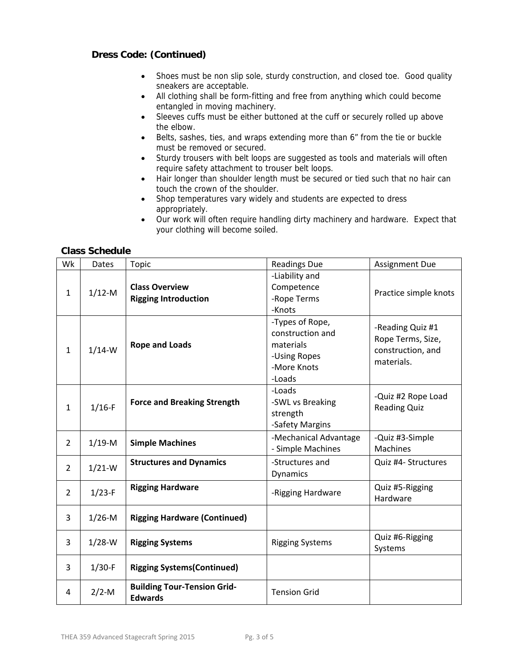# **Dress Code: (Continued)**

- Shoes must be non slip sole, sturdy construction, and closed toe. Good quality sneakers are acceptable.
- All clothing shall be form-fitting and free from anything which could become entangled in moving machinery.
- Sleeves cuffs must be either buttoned at the cuff or securely rolled up above the elbow.
- Belts, sashes, ties, and wraps extending more than 6" from the tie or buckle must be removed or secured.
- Sturdy trousers with belt loops are suggested as tools and materials will often require safety attachment to trouser belt loops.
- Hair longer than shoulder length must be secured or tied such that no hair can touch the crown of the shoulder.
- Shop temperatures vary widely and students are expected to dress appropriately.
- Our work will often require handling dirty machinery and hardware. Expect that your clothing will become soiled.

## **Class Schedule**

| Wk             | <b>Dates</b> | Topic                                                | <b>Readings Due</b>                                                                       | <b>Assignment Due</b>                                                    |
|----------------|--------------|------------------------------------------------------|-------------------------------------------------------------------------------------------|--------------------------------------------------------------------------|
| $\mathbf{1}$   | $1/12-M$     | <b>Class Overview</b><br><b>Rigging Introduction</b> | -Liability and<br>Competence<br>-Rope Terms<br>-Knots                                     | Practice simple knots                                                    |
| $\mathbf{1}$   | $1/14-W$     | <b>Rope and Loads</b>                                | -Types of Rope,<br>construction and<br>materials<br>-Using Ropes<br>-More Knots<br>-Loads | -Reading Quiz #1<br>Rope Terms, Size,<br>construction, and<br>materials. |
| $\mathbf{1}$   | $1/16-F$     | <b>Force and Breaking Strength</b>                   | -Loads<br>-SWL vs Breaking<br>strength<br>-Safety Margins                                 | -Quiz #2 Rope Load<br><b>Reading Quiz</b>                                |
| $\overline{2}$ | $1/19-M$     | <b>Simple Machines</b>                               | -Mechanical Advantage<br>- Simple Machines                                                | -Quiz #3-Simple<br>Machines                                              |
| $\overline{2}$ | $1/21-W$     | <b>Structures and Dynamics</b>                       | -Structures and<br>Dynamics                                                               | Quiz #4- Structures                                                      |
| $\overline{2}$ | $1/23-F$     | <b>Rigging Hardware</b>                              | -Rigging Hardware                                                                         | Quiz #5-Rigging<br>Hardware                                              |
| 3              | $1/26-M$     | <b>Rigging Hardware (Continued)</b>                  |                                                                                           |                                                                          |
| 3              | $1/28-W$     | <b>Rigging Systems</b>                               | <b>Rigging Systems</b>                                                                    | Quiz #6-Rigging<br>Systems                                               |
| 3              | $1/30-F$     | <b>Rigging Systems(Continued)</b>                    |                                                                                           |                                                                          |
| 4              | $2/2-M$      | <b>Building Tour-Tension Grid-</b><br><b>Edwards</b> | <b>Tension Grid</b>                                                                       |                                                                          |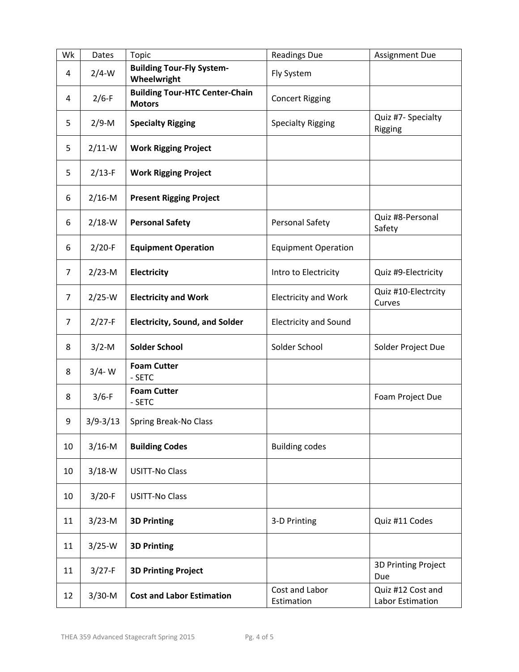| Wk             | Dates        | Topic                                                  | <b>Readings Due</b>          | Assignment Due                        |
|----------------|--------------|--------------------------------------------------------|------------------------------|---------------------------------------|
| 4              | $2/4-W$      | <b>Building Tour-Fly System-</b><br>Wheelwright        | Fly System                   |                                       |
| 4              | $2/6-F$      | <b>Building Tour-HTC Center-Chain</b><br><b>Motors</b> | <b>Concert Rigging</b>       |                                       |
| 5              | $2/9 - M$    | <b>Specialty Rigging</b>                               | <b>Specialty Rigging</b>     | Quiz #7- Specialty<br>Rigging         |
| 5              | $2/11-W$     | <b>Work Rigging Project</b>                            |                              |                                       |
| 5              | $2/13-F$     | <b>Work Rigging Project</b>                            |                              |                                       |
| 6              | $2/16-M$     | <b>Present Rigging Project</b>                         |                              |                                       |
| 6              | $2/18-W$     | <b>Personal Safety</b>                                 | Personal Safety              | Quiz #8-Personal<br>Safety            |
| 6              | $2/20-F$     | <b>Equipment Operation</b>                             | <b>Equipment Operation</b>   |                                       |
| $\overline{7}$ | $2/23-M$     | Electricity                                            | Intro to Electricity         | Quiz #9-Electricity                   |
| $\overline{7}$ | $2/25-W$     | <b>Electricity and Work</b>                            | <b>Electricity and Work</b>  | Quiz #10-Electrcity<br>Curves         |
| $\overline{7}$ | $2/27-F$     | <b>Electricity, Sound, and Solder</b>                  | <b>Electricity and Sound</b> |                                       |
| 8              | $3/2-M$      | <b>Solder School</b>                                   | Solder School                | Solder Project Due                    |
| 8              | $3/4 - W$    | <b>Foam Cutter</b><br>- SETC                           |                              |                                       |
| 8              | $3/6-F$      | <b>Foam Cutter</b><br>- SETC                           |                              | Foam Project Due                      |
| 9              | $3/9 - 3/13$ | Spring Break-No Class                                  |                              |                                       |
| 10             | $3/16-M$     | <b>Building Codes</b>                                  | <b>Building codes</b>        |                                       |
| 10             | $3/18-W$     | <b>USITT-No Class</b>                                  |                              |                                       |
| 10             | $3/20-F$     | <b>USITT-No Class</b>                                  |                              |                                       |
| 11             | $3/23-M$     | <b>3D Printing</b>                                     | 3-D Printing                 | Quiz #11 Codes                        |
| 11             | $3/25-W$     | <b>3D Printing</b>                                     |                              |                                       |
| 11             | $3/27-F$     | <b>3D Printing Project</b>                             |                              | 3D Printing Project<br>Due            |
| 12             | $3/30-M$     | <b>Cost and Labor Estimation</b>                       | Cost and Labor<br>Estimation | Quiz #12 Cost and<br>Labor Estimation |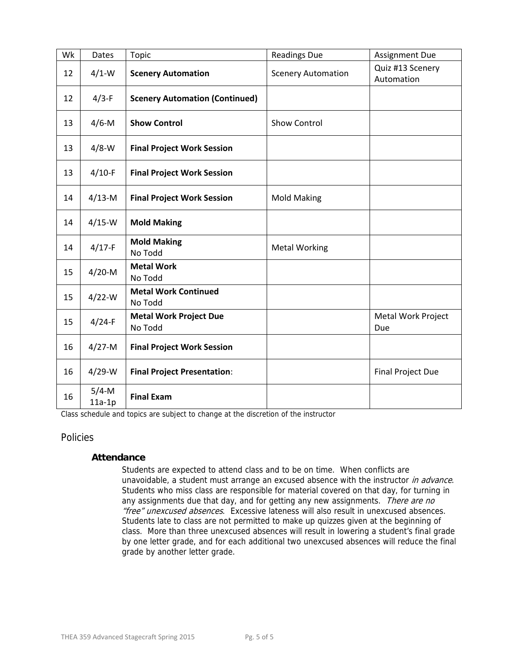| Wk | Dates                | <b>Topic</b>                             | <b>Readings Due</b>       | <b>Assignment Due</b>          |
|----|----------------------|------------------------------------------|---------------------------|--------------------------------|
| 12 | $4/1$ -W             | <b>Scenery Automation</b>                | <b>Scenery Automation</b> | Quiz #13 Scenery<br>Automation |
| 12 | $4/3-F$              | <b>Scenery Automation (Continued)</b>    |                           |                                |
| 13 | $4/6$ -M             | <b>Show Control</b>                      | <b>Show Control</b>       |                                |
| 13 | $4/8$ -W             | <b>Final Project Work Session</b>        |                           |                                |
| 13 | $4/10-F$             | <b>Final Project Work Session</b>        |                           |                                |
| 14 | $4/13-M$             | <b>Final Project Work Session</b>        | <b>Mold Making</b>        |                                |
| 14 | $4/15-W$             | <b>Mold Making</b>                       |                           |                                |
| 14 | $4/17-F$             | <b>Mold Making</b><br>No Todd            | <b>Metal Working</b>      |                                |
| 15 | $4/20-M$             | <b>Metal Work</b><br>No Todd             |                           |                                |
| 15 | $4/22-W$             | <b>Metal Work Continued</b><br>No Todd   |                           |                                |
| 15 | $4/24-F$             | <b>Metal Work Project Due</b><br>No Todd |                           | Metal Work Project<br>Due      |
| 16 | $4/27 - M$           | <b>Final Project Work Session</b>        |                           |                                |
| 16 | $4/29-W$             | <b>Final Project Presentation:</b>       |                           | Final Project Due              |
| 16 | $5/4$ -M<br>$11a-1p$ | <b>Final Exam</b>                        |                           |                                |

Class schedule and topics are subject to change at the discretion of the instructor

## Policies

## **Attendance**

Students are expected to attend class and to be on time. When conflicts are unavoidable, a student must arrange an excused absence with the instructor in advance. Students who miss class are responsible for material covered on that day, for turning in any assignments due that day, and for getting any new assignments. There are no "free" unexcused absences. Excessive lateness will also result in unexcused absences. Students late to class are not permitted to make up quizzes given at the beginning of class. More than three unexcused absences will result in lowering a student's final grade by one letter grade, and for each additional two unexcused absences will reduce the final grade by another letter grade.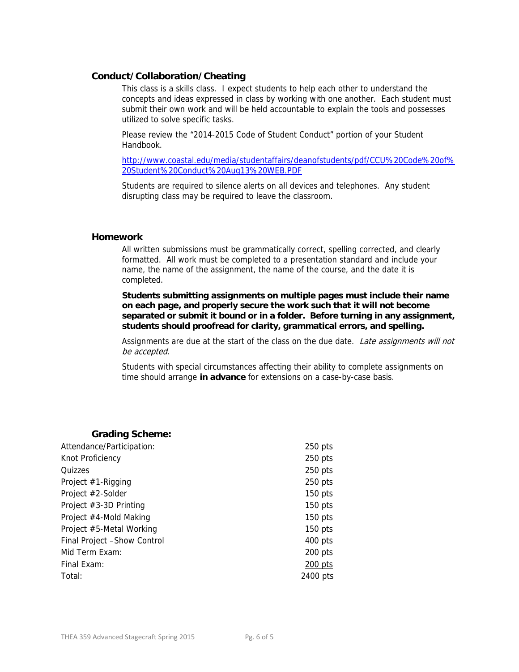#### **Conduct/Collaboration/Cheating**

This class is a skills class. I expect students to help each other to understand the concepts and ideas expressed in class by working with one another. Each student must submit their own work and will be held accountable to explain the tools and possesses utilized to solve specific tasks.

Please review the "2014-2015 Code of Student Conduct" portion of your Student Handbook.

http://www.coastal.edu/media/studentaffairs/deanofstudents/pdf/CCU%20Code%20of% 20Student%20Conduct%20Aug13%20WEB.PDF

Students are required to silence alerts on all devices and telephones. Any student disrupting class may be required to leave the classroom.

#### **Homework**

All written submissions must be grammatically correct, spelling corrected, and clearly formatted. All work must be completed to a presentation standard and include your name, the name of the assignment, the name of the course, and the date it is completed.

**Students submitting assignments on multiple pages must include their name on each page, and properly secure the work such that it will not become separated or submit it bound or in a folder. Before turning in any assignment, students should proofread for clarity, grammatical errors, and spelling.** 

Assignments are due at the start of the class on the due date. Late assignments will not be accepted.

Students with special circumstances affecting their ability to complete assignments on time should arrange **in advance** for extensions on a case-by-case basis.

## **Grading Scheme:**

| Attendance/Participation:   | $250$ pts |
|-----------------------------|-----------|
| Knot Proficiency            | $250$ pts |
| Quizzes                     | $250$ pts |
| Project $#1$ -Rigging       | $250$ pts |
| Project #2-Solder           | $150$ pts |
| Project #3-3D Printing      | $150$ pts |
| Project #4-Mold Making      | $150$ pts |
| Project #5-Metal Working    | $150$ pts |
| Final Project -Show Control | $400$ pts |
| Mid Term Exam:              | $200$ pts |
| Final Exam:                 | $200$ pts |
| Total:                      | 2400 pts  |